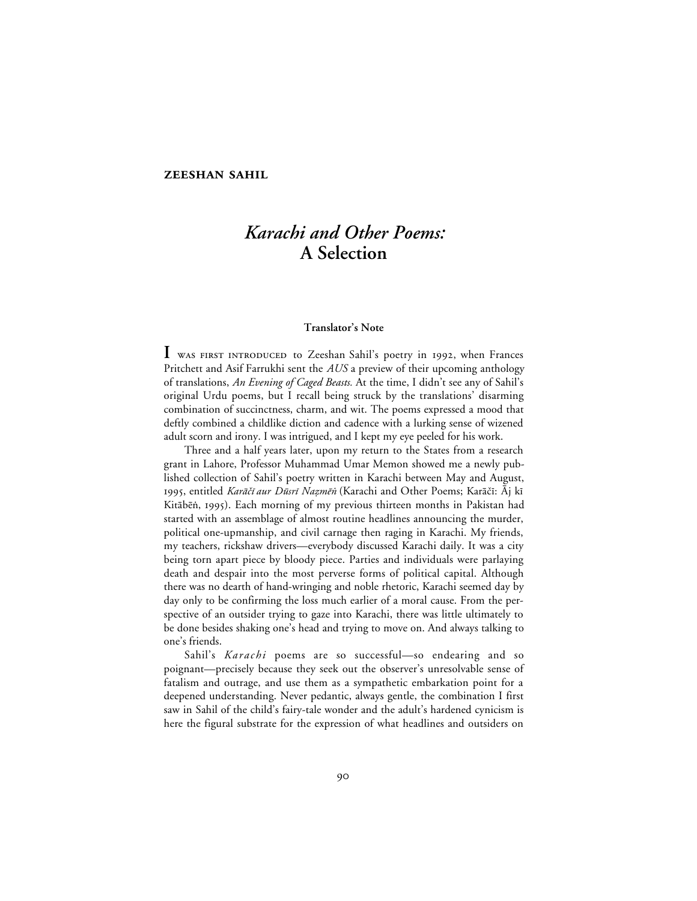# *Karachi and Other Poems:* **A Selection**

#### **Translator's Note**

I WAS FIRST INTRODUCED to Zeeshan Sahil's poetry in 1992, when Frances Pritchett and Asif Farrukhi sent the *AUS* a preview of their upcoming anthology of translations, *An Evening of Caged Beasts.* At the time, I didn't see any of Sahil's original Urdu poems, but I recall being struck by the translations' disarming combination of succinctness, charm, and wit. The poems expressed a mood that deftly combined a childlike diction and cadence with a lurking sense of wizened adult scorn and irony. I was intrigued, and I kept my eye peeled for his work.

Three and a half years later, upon my return to the States from a research grant in Lahore, Professor Muhammad Umar Memon showed me a newly published collection of Sahil's poetry written in Karachi between May and August, 1995, entitled *Karāčī aur Dūsrī Nazmēn* (Karachi and Other Poems; Karāčī: Āj kī Kitābēṅ, 1995). Each morning of my previous thirteen months in Pakistan had started with an assemblage of almost routine headlines announcing the murder, political one-upmanship, and civil carnage then raging in Karachi. My friends, my teachers, rickshaw drivers—everybody discussed Karachi daily. It was a city being torn apart piece by bloody piece. Parties and individuals were parlaying death and despair into the most perverse forms of political capital. Although there was no dearth of hand-wringing and noble rhetoric, Karachi seemed day by day only to be confirming the loss much earlier of a moral cause. From the perspective of an outsider trying to gaze into Karachi, there was little ultimately to be done besides shaking one's head and trying to move on. And always talking to one's friends.

Sahil's *Karachi* poems are so successful—so endearing and so poignant—precisely because they seek out the observer's unresolvable sense of fatalism and outrage, and use them as a sympathetic embarkation point for a deepened understanding. Never pedantic, always gentle, the combination I first saw in Sahil of the child's fairy-tale wonder and the adult's hardened cynicism is here the figural substrate for the expression of what headlines and outsiders on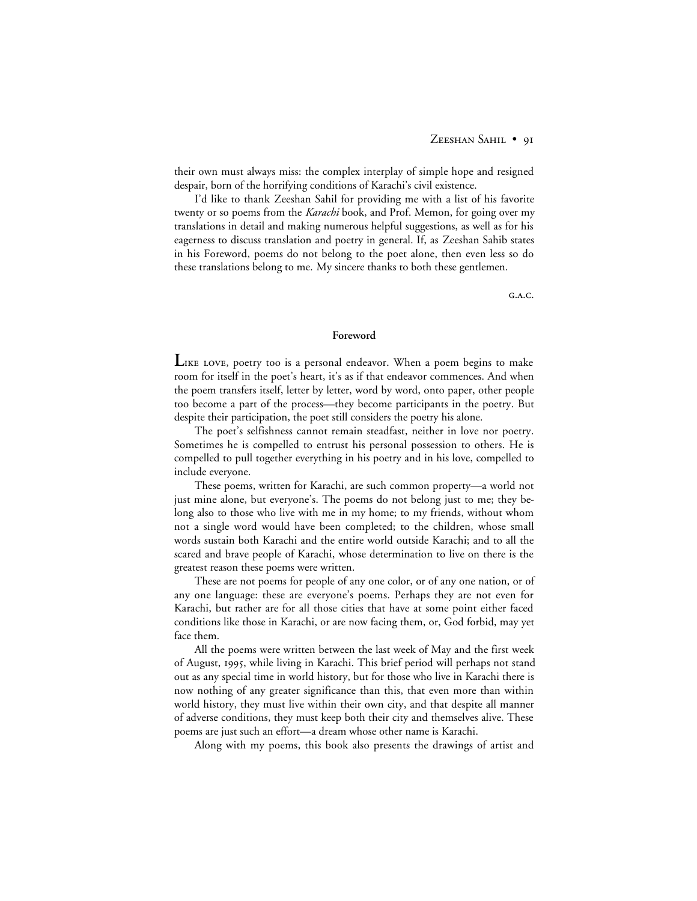their own must always miss: the complex interplay of simple hope and resigned despair, born of the horrifying conditions of Karachi's civil existence.

I'd like to thank Zeeshan Sahil for providing me with a list of his favorite twenty or so poems from the *Karachi* book, and Prof. Memon, for going over my translations in detail and making numerous helpful suggestions, as well as for his eagerness to discuss translation and poetry in general. If, as Zeeshan Sahib states in his Foreword, poems do not belong to the poet alone, then even less so do these translations belong to me. My sincere thanks to both these gentlemen.

 $G.A.C.$ 

#### **Foreword**

LIKE LOVE, poetry too is a personal endeavor. When a poem begins to make room for itself in the poet's heart, it's as if that endeavor commences. And when the poem transfers itself, letter by letter, word by word, onto paper, other people too become a part of the process—they become participants in the poetry. But despite their participation, the poet still considers the poetry his alone.

The poet's selfishness cannot remain steadfast, neither in love nor poetry. Sometimes he is compelled to entrust his personal possession to others. He is compelled to pull together everything in his poetry and in his love, compelled to include everyone.

These poems, written for Karachi, are such common property—a world not just mine alone, but everyone's. The poems do not belong just to me; they belong also to those who live with me in my home; to my friends, without whom not a single word would have been completed; to the children, whose small words sustain both Karachi and the entire world outside Karachi; and to all the scared and brave people of Karachi, whose determination to live on there is the greatest reason these poems were written.

These are not poems for people of any one color, or of any one nation, or of any one language: these are everyone's poems. Perhaps they are not even for Karachi, but rather are for all those cities that have at some point either faced conditions like those in Karachi, or are now facing them, or, God forbid, may yet face them.

All the poems were written between the last week of May and the first week of August, 1995, while living in Karachi. This brief period will perhaps not stand out as any special time in world history, but for those who live in Karachi there is now nothing of any greater significance than this, that even more than within world history, they must live within their own city, and that despite all manner of adverse conditions, they must keep both their city and themselves alive. These poems are just such an effort—a dream whose other name is Karachi.

Along with my poems, this book also presents the drawings of artist and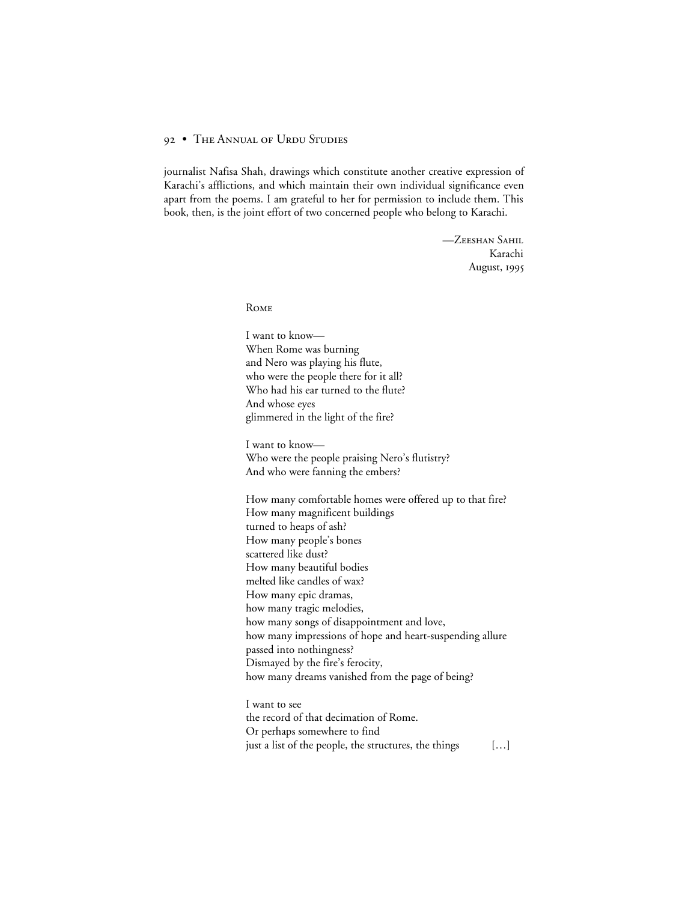journalist Nafisa Shah, drawings which constitute another creative expression of Karachi's afflictions, and which maintain their own individual significance even apart from the poems. I am grateful to her for permission to include them. This book, then, is the joint effort of two concerned people who belong to Karachi.

> -ZEESHAN SAHIL Karachi August,

**ROME** 

I want to know— When Rome was burning and Nero was playing his flute, who were the people there for it all? Who had his ear turned to the flute? And whose eyes glimmered in the light of the fire?

I want to know— Who were the people praising Nero's flutistry? And who were fanning the embers?

How many comfortable homes were offered up to that fire? How many magnificent buildings turned to heaps of ash? How many people's bones scattered like dust? How many beautiful bodies melted like candles of wax? How many epic dramas, how many tragic melodies, how many songs of disappointment and love, how many impressions of hope and heart-suspending allure passed into nothingness? Dismayed by the fire's ferocity, how many dreams vanished from the page of being?

I want to see the record of that decimation of Rome. Or perhaps somewhere to find just a list of the people, the structures, the things [...]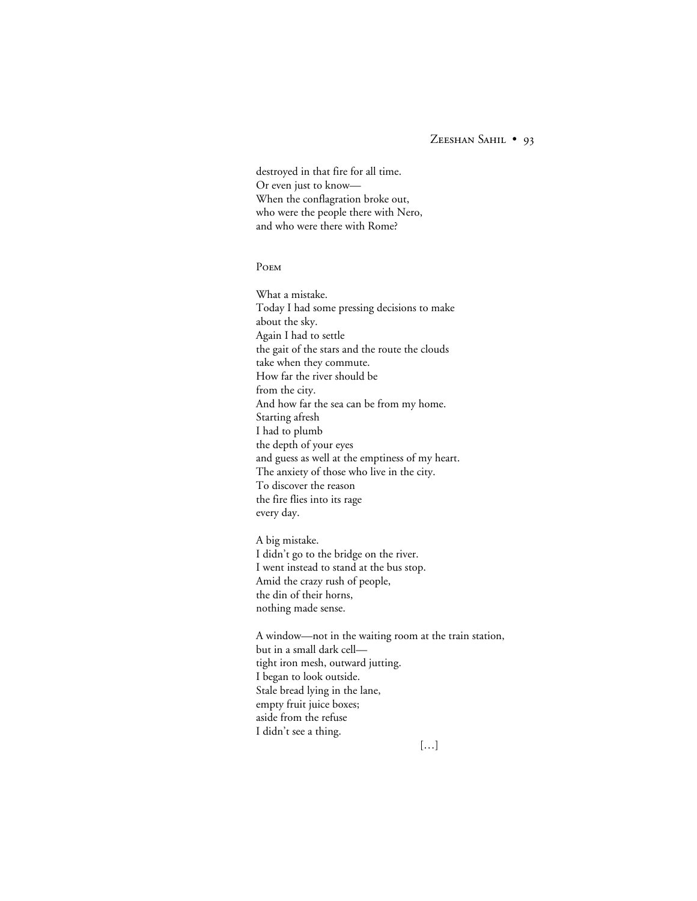destroyed in that fire for all time. Or even just to know— When the conflagration broke out, who were the people there with Nero, and who were there with Rome?

#### **POEM**

What a mistake. Today I had some pressing decisions to make about the sky. Again I had to settle the gait of the stars and the route the clouds take when they commute. How far the river should be from the city. And how far the sea can be from my home. Starting afresh I had to plumb the depth of your eyes and guess as well at the emptiness of my heart. The anxiety of those who live in the city. To discover the reason the fire flies into its rage every day.

A big mistake. I didn't go to the bridge on the river. I went instead to stand at the bus stop. Amid the crazy rush of people, the din of their horns, nothing made sense.

A window—not in the waiting room at the train station, but in a small dark cell tight iron mesh, outward jutting. I began to look outside. Stale bread lying in the lane, empty fruit juice boxes; aside from the refuse I didn't see a thing.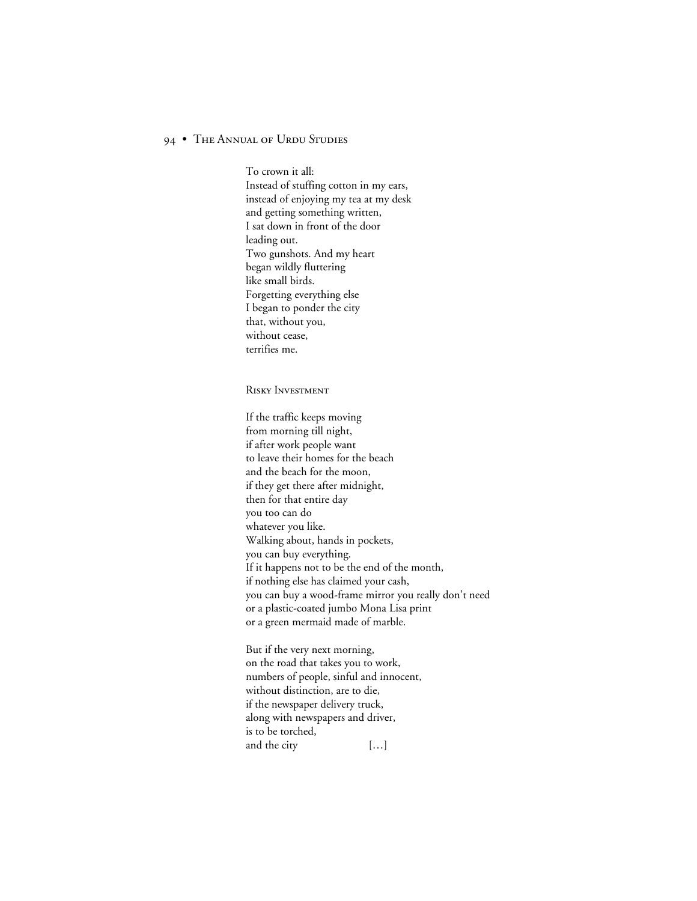To crown it all: Instead of stuffing cotton in my ears, instead of enjoying my tea at my desk and getting something written, I sat down in front of the door leading out. Two gunshots. And my heart began wildly fluttering like small birds. Forgetting everything else I began to ponder the city that, without you, without cease, terrifies me.

#### RISKY INVESTMENT

If the traffic keeps moving from morning till night, if after work people want to leave their homes for the beach and the beach for the moon, if they get there after midnight, then for that entire day you too can do whatever you like. Walking about, hands in pockets, you can buy everything. If it happens not to be the end of the month, if nothing else has claimed your cash, you can buy a wood-frame mirror you really don't need or a plastic-coated jumbo Mona Lisa print or a green mermaid made of marble.

But if the very next morning, on the road that takes you to work, numbers of people, sinful and innocent, without distinction, are to die, if the newspaper delivery truck, along with newspapers and driver, is to be torched, and the city [...]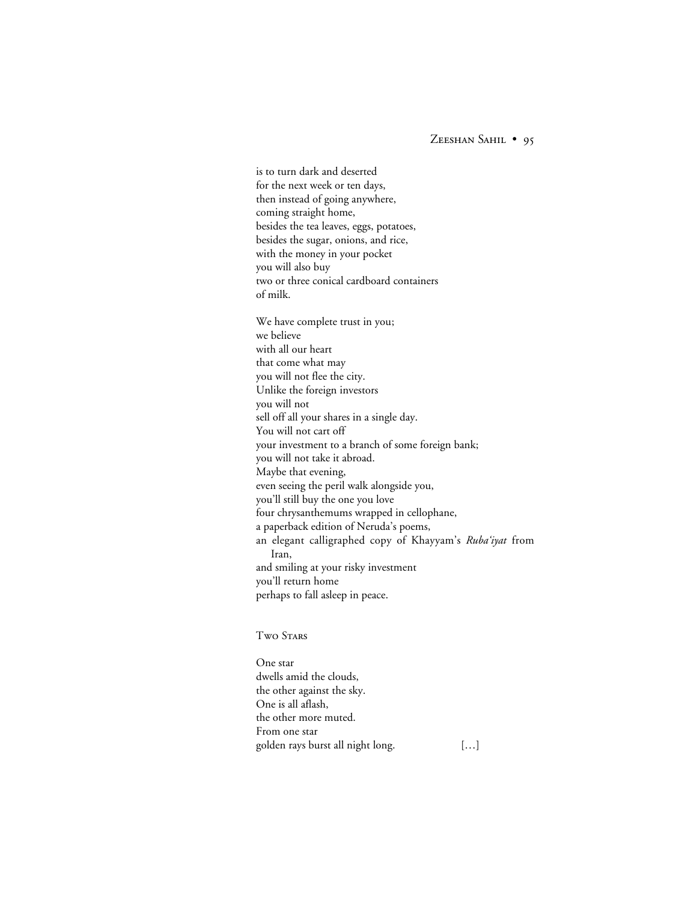for the next week or ten days, then instead of going anywhere, coming straight home, besides the tea leaves, eggs, potatoes, besides the sugar, onions, and rice, with the money in your pocket you will also buy two or three conical cardboard containers of milk. We have complete trust in you; we believe with all our heart that come what may you will not flee the city. Unlike the foreign investors you will not sell off all your shares in a single day. You will not cart off your investment to a branch of some foreign bank; you will not take it abroad. Maybe that evening, even seeing the peril walk alongside you, you'll still buy the one you love four chrysanthemums wrapped in cellophane, a paperback edition of Neruda's poems, an elegant calligraphed copy of Khayyam's *Ruba'iyat* from Iran, and smiling at your risky investment you'll return home perhaps to fall asleep in peace.

is to turn dark and deserted

**TWO STARS** 

One star dwells amid the clouds, the other against the sky. One is all aflash, the other more muted. From one star golden rays burst all night long. […]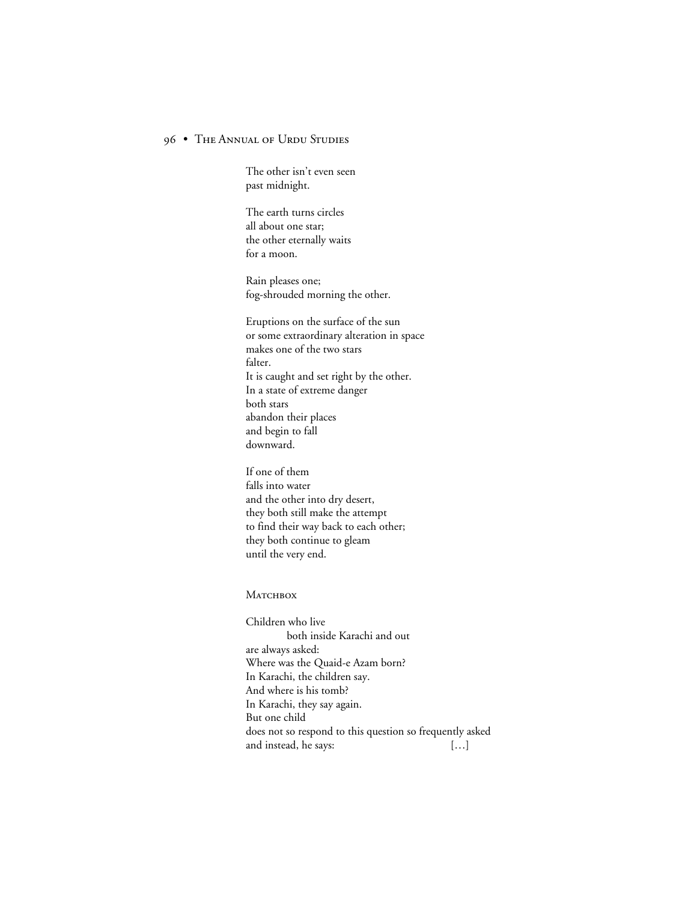The other isn't even seen past midnight.

The earth turns circles all about one star; the other eternally waits for a moon.

Rain pleases one; fog-shrouded morning the other.

Eruptions on the surface of the sun or some extraordinary alteration in space makes one of the two stars falter. It is caught and set right by the other. In a state of extreme danger both stars abandon their places and begin to fall downward.

If one of them falls into water and the other into dry desert, they both still make the attempt to find their way back to each other; they both continue to gleam until the very end.

#### **МАТСНВОХ**

Children who live both inside Karachi and out are always asked: Where was the Quaid-e Azam born? In Karachi, the children say. And where is his tomb? In Karachi, they say again. But one child does not so respond to this question so frequently asked and instead, he says: […]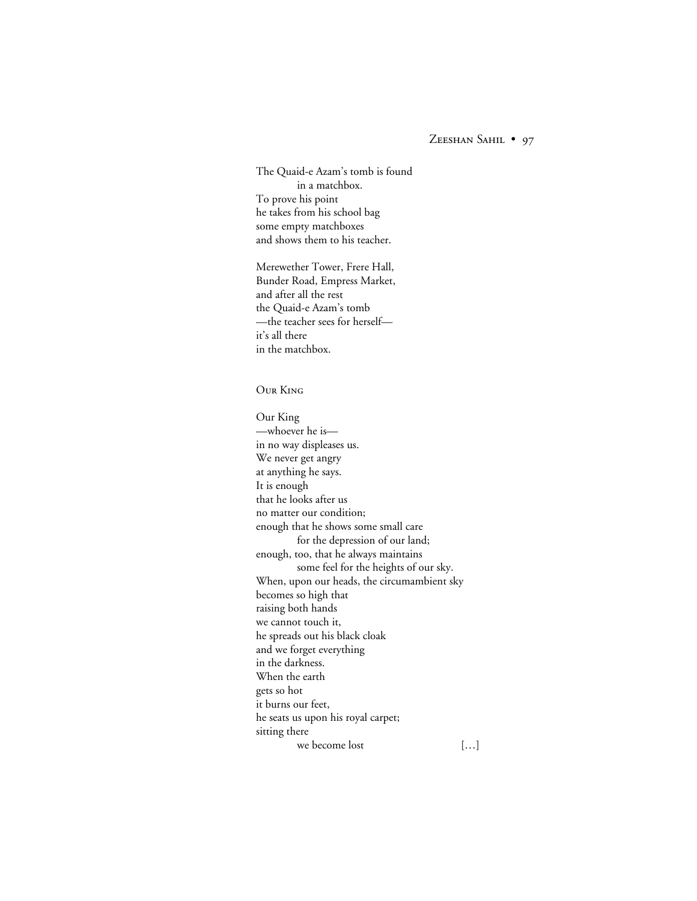The Quaid-e Azam's tomb is found in a matchbox. To prove his point he takes from his school bag some empty matchboxes and shows them to his teacher.

Merewether Tower, Frere Hall, Bunder Road, Empress Market, and after all the rest the Quaid-e Azam's tomb —the teacher sees for herself it's all there in the matchbox.

#### **OUR KING**

Our King —whoever he is in no way displeases us. We never get angry at anything he says. It is enough that he looks after us no matter our condition; enough that he shows some small care for the depression of our land; enough, too, that he always maintains some feel for the heights of our sky. When, upon our heads, the circumambient sky becomes so high that raising both hands we cannot touch it, he spreads out his black cloak and we forget everything in the darkness. When the earth gets so hot it burns our feet, he seats us upon his royal carpet; sitting there we become lost [...]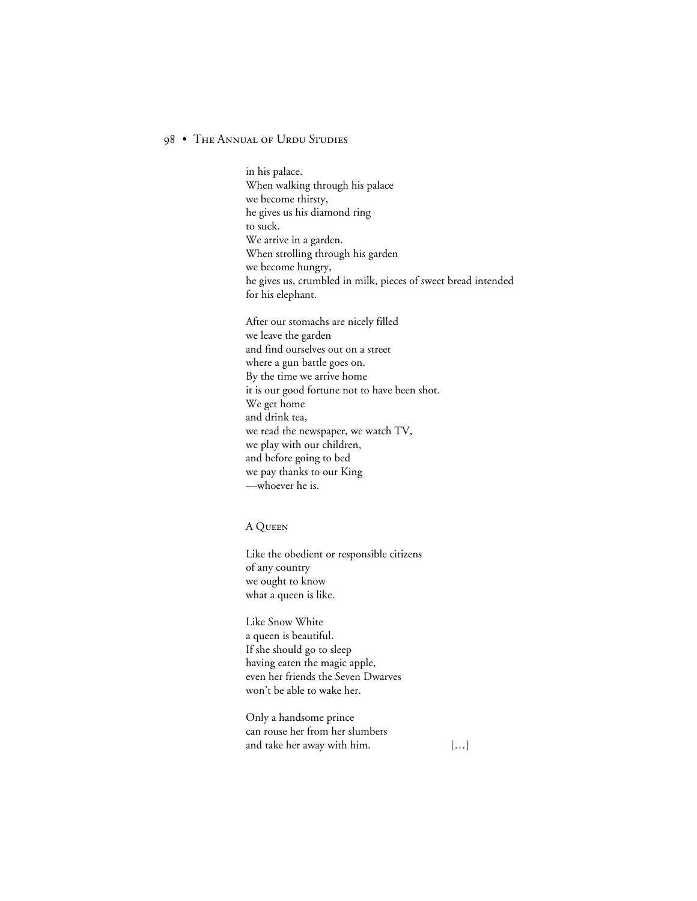in his palace. When walking through his palace we become thirsty, he gives us his diamond ring to suck. We arrive in a garden. When strolling through his garden we become hungry, he gives us, crumbled in milk, pieces of sweet bread intended for his elephant.

After our stomachs are nicely filled we leave the garden and find ourselves out on a street where a gun battle goes on. By the time we arrive home it is our good fortune not to have been shot. We get home and drink tea, we read the newspaper, we watch TV, we play with our children, and before going to bed we pay thanks to our King —whoever he is.

### A Q

Like the obedient or responsible citizens of any country we ought to know what a queen is like.

Like Snow White a queen is beautiful. If she should go to sleep having eaten the magic apple, even her friends the Seven Dwarves won't be able to wake her.

Only a handsome prince can rouse her from her slumbers and take her away with him. [...]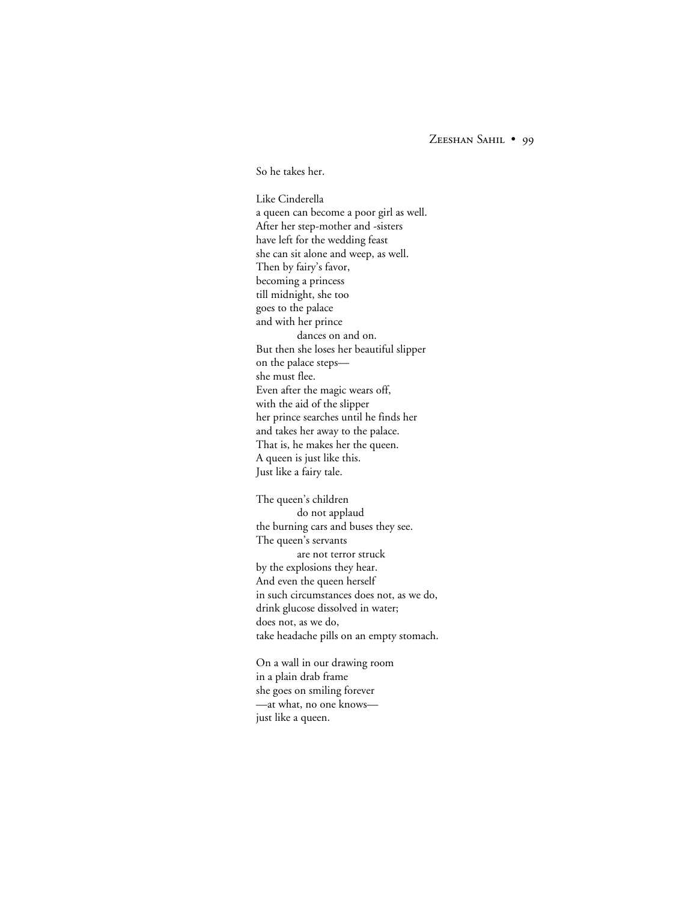So he takes her.

Like Cinderella a queen can become a poor girl as well. After her step-mother and -sisters have left for the wedding feast she can sit alone and weep, as well. Then by fairy's favor, becoming a princess till midnight, she too goes to the palace and with her prince dances on and on. But then she loses her beautiful slipper on the palace steps she must flee. Even after the magic wears off, with the aid of the slipper her prince searches until he finds her and takes her away to the palace. That is, he makes her the queen. A queen is just like this. Just like a fairy tale.

The queen's children do not applaud the burning cars and buses they see. The queen's servants are not terror struck by the explosions they hear. And even the queen herself in such circumstances does not, as we do, drink glucose dissolved in water; does not, as we do, take headache pills on an empty stomach.

On a wall in our drawing room in a plain drab frame she goes on smiling forever —at what, no one knows just like a queen.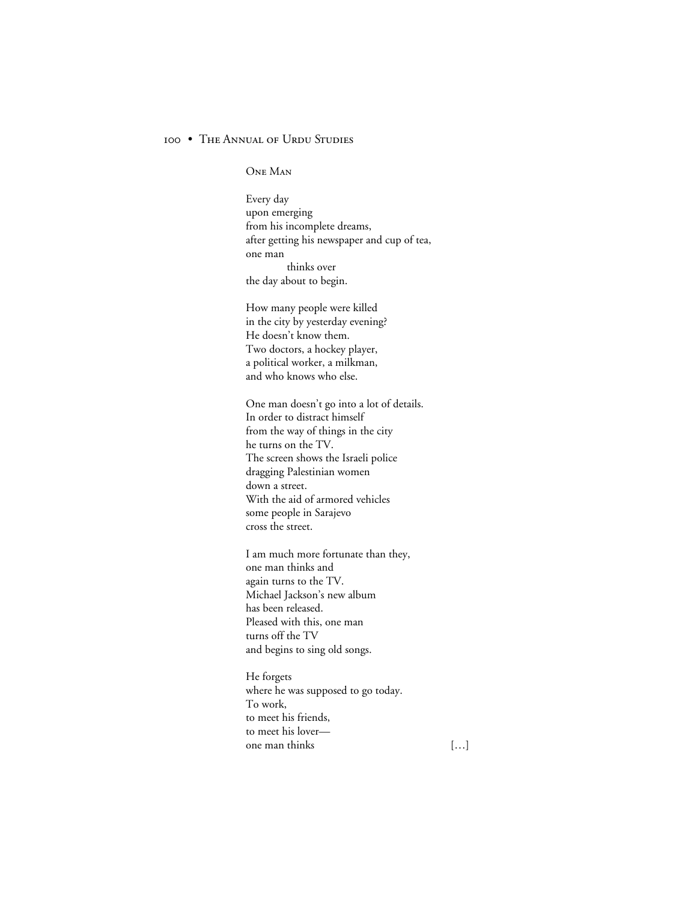ONE MAN

Every day upon emerging from his incomplete dreams, after getting his newspaper and cup of tea, one man thinks over the day about to begin.

How many people were killed in the city by yesterday evening? He doesn't know them. Two doctors, a hockey player, a political worker, a milkman, and who knows who else.

One man doesn't go into a lot of details. In order to distract himself from the way of things in the city he turns on the TV. The screen shows the Israeli police dragging Palestinian women down a street. With the aid of armored vehicles some people in Sarajevo cross the street.

I am much more fortunate than they, one man thinks and again turns to the TV. Michael Jackson's new album has been released. Pleased with this, one man turns off the TV and begins to sing old songs.

He forgets where he was supposed to go today. To work, to meet his friends, to meet his lover one man thinks […]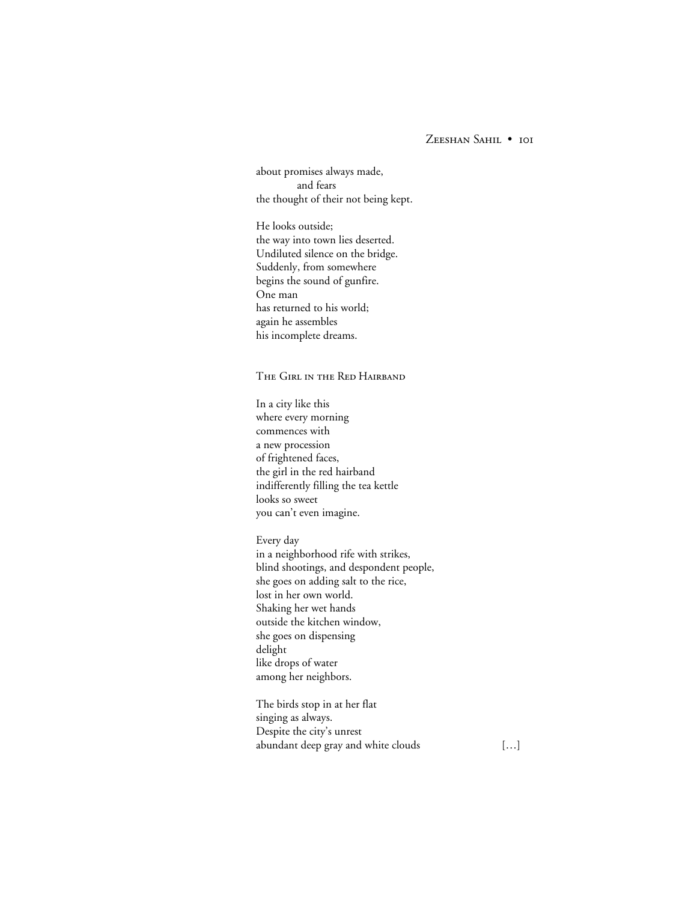# ZEESHAN SAHIL . IOI

about promises always made, and fears the thought of their not being kept.

He looks outside; the way into town lies deserted. Undiluted silence on the bridge. Suddenly, from somewhere begins the sound of gunfire. One man has returned to his world; again he assembles his incomplete dreams.

THE GIRL IN THE RED HAIRBAND

In a city like this where every morning commences with a new procession of frightened faces, the girl in the red hairband indifferently filling the tea kettle looks so sweet you can't even imagine.

Every day in a neighborhood rife with strikes, blind shootings, and despondent people, she goes on adding salt to the rice, lost in her own world. Shaking her wet hands outside the kitchen window, she goes on dispensing delight like drops of water among her neighbors.

The birds stop in at her flat singing as always. Despite the city's unrest abundant deep gray and white clouds [...]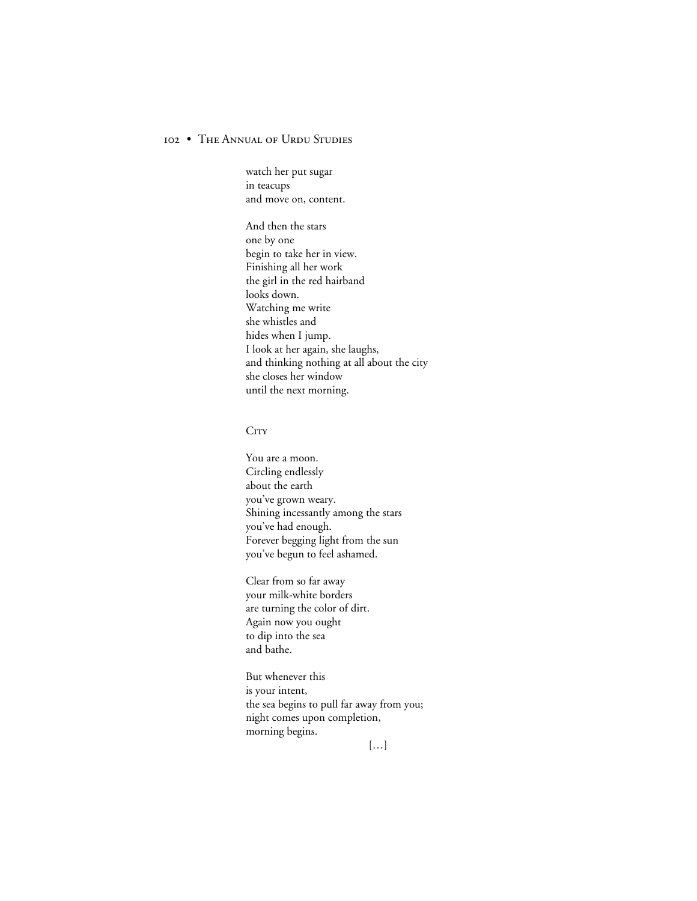watch her put sugar in teacups and move on, content.

And then the stars one by one begin to take her in view. Finishing all her work the girl in the red hairband looks down. Watching me write she whistles and hides when I jump. I look at her again, she laughs, and thinking nothing at all about the city she closes her window until the next morning.

#### **CITY**

You are a moon. Circling endlessly about the earth you've grown weary. Shining incessantly among the stars you've had enough. Forever begging light from the sun you've begun to feel ashamed.

Clear from so far away your milk-white borders are turning the color of dirt. Again now you ought to dip into the sea and bathe.

But whenever this is your intent, the sea begins to pull far away from you; night comes upon completion, morning begins.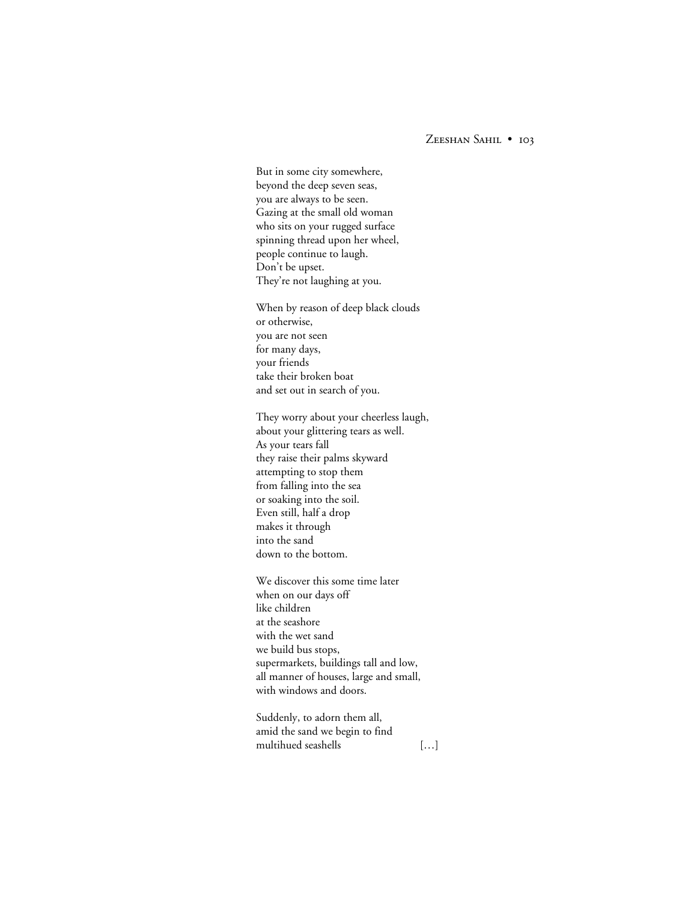But in some city somewhere, beyond the deep seven seas, you are always to be seen. Gazing at the small old woman who sits on your rugged surface spinning thread upon her wheel, people continue to laugh. Don't be upset. They're not laughing at you.

When by reason of deep black clouds or otherwise, you are not seen for many days, your friends take their broken boat and set out in search of you.

They worry about your cheerless laugh, about your glittering tears as well. As your tears fall they raise their palms skyward attempting to stop them from falling into the sea or soaking into the soil. Even still, half a drop makes it through into the sand down to the bottom.

We discover this some time later when on our days off like children at the seashore with the wet sand we build bus stops, supermarkets, buildings tall and low, all manner of houses, large and small, with windows and doors.

Suddenly, to adorn them all, amid the sand we begin to find multihued seashells […]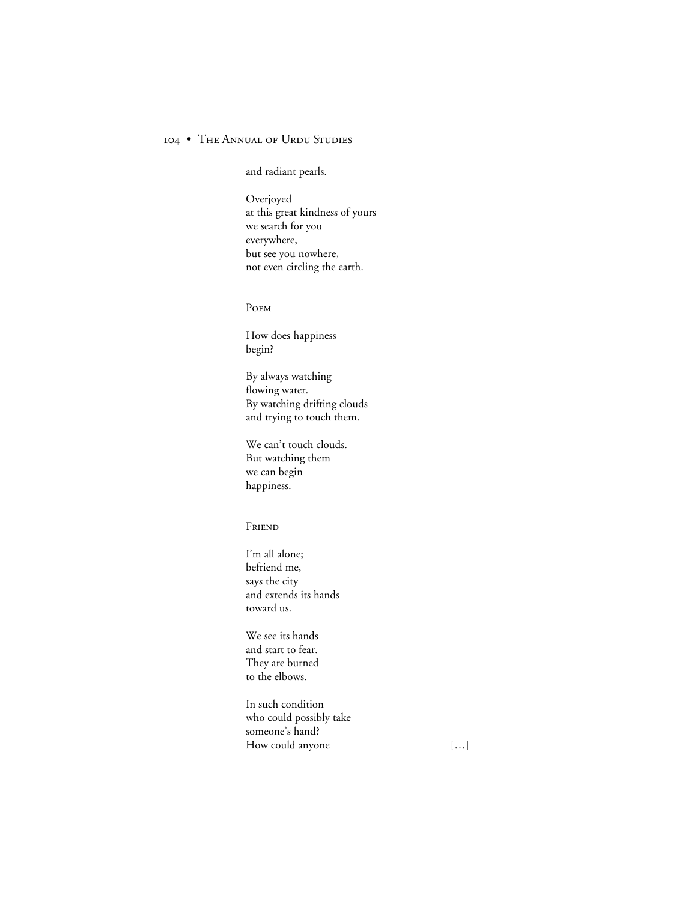and radiant pearls.

Overjoyed at this great kindness of yours we search for you everywhere, but see you nowhere, not even circling the earth.

POEM

How does happiness begin?

By always watching flowing water. By watching drifting clouds and trying to touch them.

We can't touch clouds. But watching them we can begin happiness.

**FRIEND** 

I'm all alone; befriend me, says the city and extends its hands toward us.

We see its hands and start to fear. They are burned to the elbows.

In such condition who could possibly take someone's hand? How could anyone [...]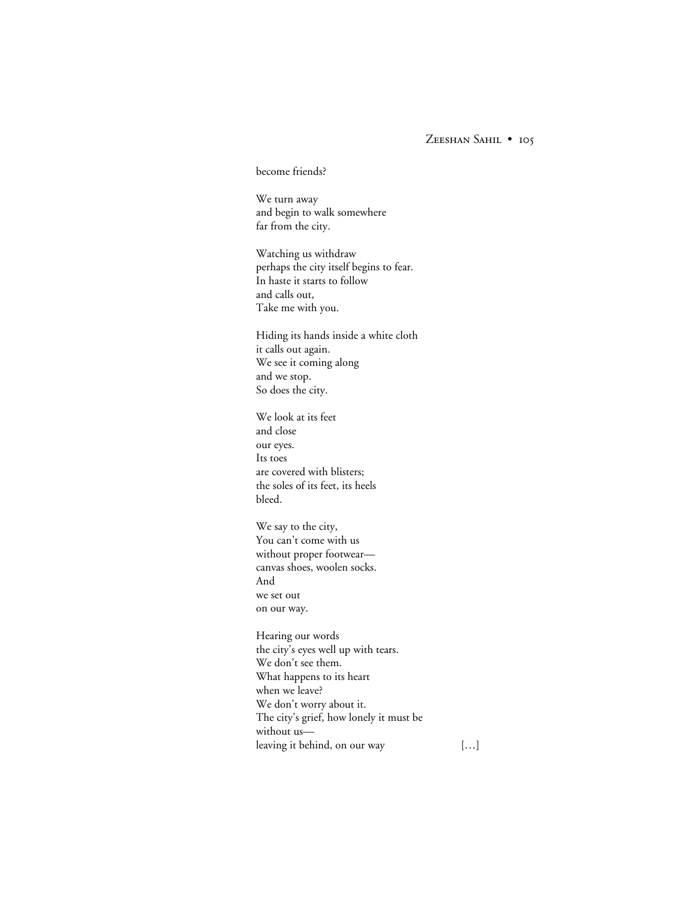#### become friends?

We turn away and begin to walk somewhere far from the city.

Watching us withdraw perhaps the city itself begins to fear. In haste it starts to follow and calls out, Take me with you.

Hiding its hands inside a white cloth it calls out again. We see it coming along and we stop. So does the city.

We look at its feet and close our eyes. Its toes are covered with blisters; the soles of its feet, its heels bleed.

We say to the city, You can't come with us without proper footwear canvas shoes, woolen socks. And we set out on our way.

Hearing our words the city's eyes well up with tears. We don't see them. What happens to its heart when we leave? We don't worry about it. The city's grief, how lonely it must be without us leaving it behind, on our way […]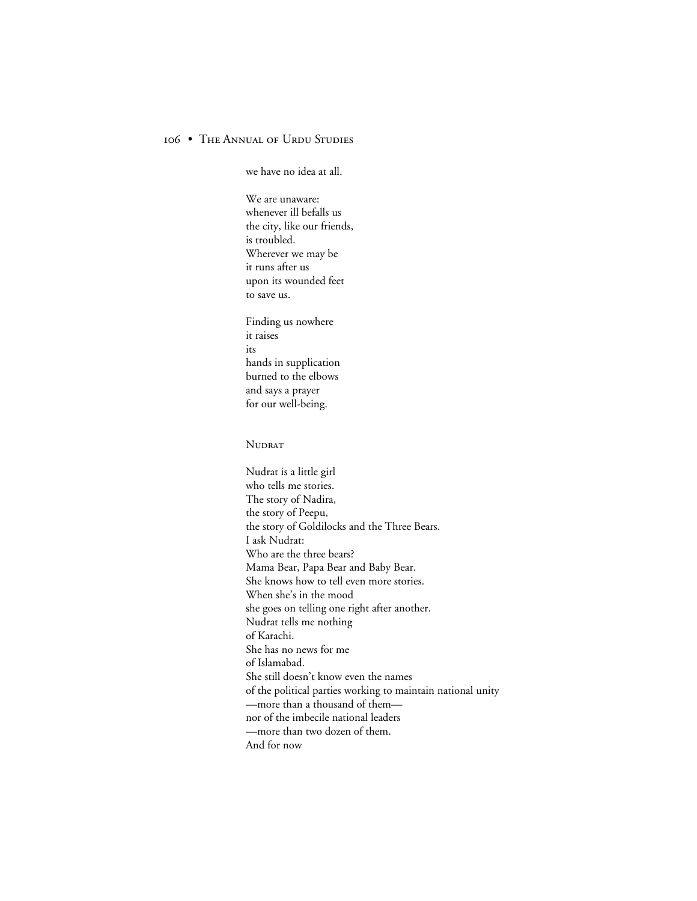we have no idea at all.

We are unaware: whenever ill befalls us the city, like our friends, is troubled. Wherever we may be it runs after us upon its wounded feet to save us.

Finding us nowhere it raises its hands in supplication burned to the elbows and says a prayer for our well-being.

#### **NUDRAT**

Nudrat is a little girl who tells me stories. The story of Nadira, the story of Peepu, the story of Goldilocks and the Three Bears. I ask Nudrat: Who are the three bears? Mama Bear, Papa Bear and Baby Bear. She knows how to tell even more stories. When she's in the mood she goes on telling one right after another. Nudrat tells me nothing of Karachi. She has no news for me of Islamabad. She still doesn't know even the names of the political parties working to maintain national unity —more than a thousand of them nor of the imbecile national leaders —more than two dozen of them. And for now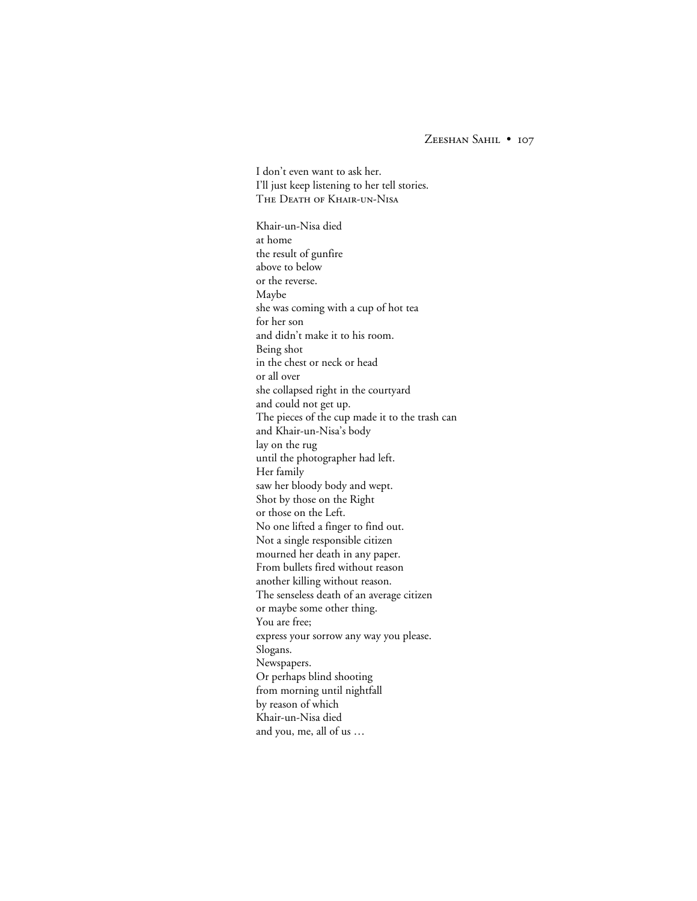I don't even want to ask her. I'll just keep listening to her tell stories. THE DEATH OF KHAIR-UN-NISA Khair-un-Nisa died at home the result of gunfire above to below or the reverse. Maybe she was coming with a cup of hot tea for her son and didn't make it to his room. Being shot in the chest or neck or head or all over she collapsed right in the courtyard and could not get up. The pieces of the cup made it to the trash can and Khair-un-Nisa's body lay on the rug until the photographer had left. Her family saw her bloody body and wept. Shot by those on the Right or those on the Left. No one lifted a finger to find out. Not a single responsible citizen mourned her death in any paper. From bullets fired without reason another killing without reason. The senseless death of an average citizen or maybe some other thing. You are free; express your sorrow any way you please. Slogans. Newspapers. Or perhaps blind shooting from morning until nightfall by reason of which Khair-un-Nisa died and you, me, all of us …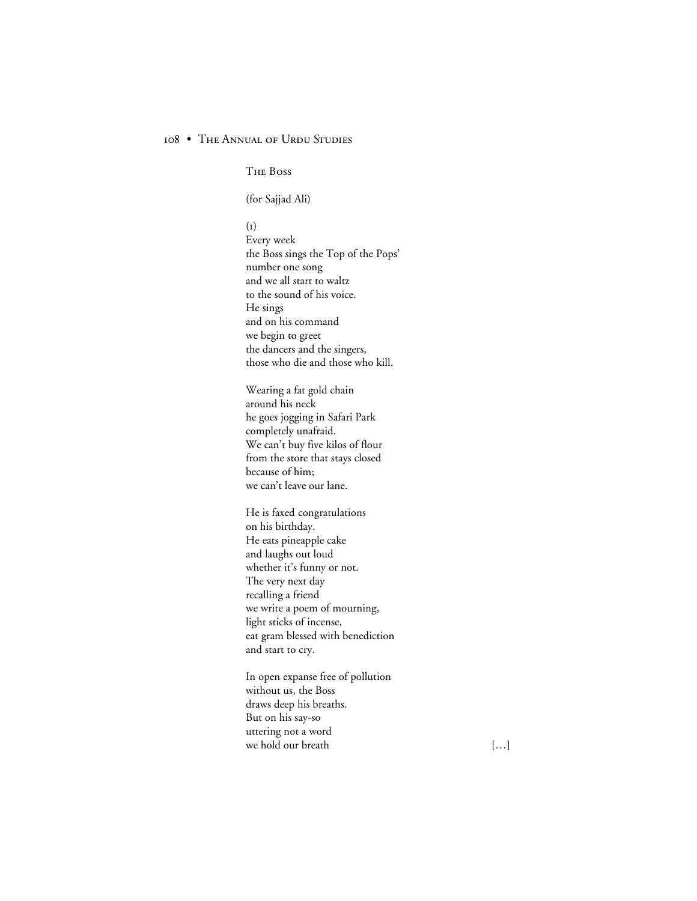THE BOSS

(for Sajjad Ali)

 $(I)$ 

Every week the Boss sings the Top of the Pops' number one song and we all start to waltz to the sound of his voice. He sings and on his command we begin to greet the dancers and the singers, those who die and those who kill.

Wearing a fat gold chain around his neck he goes jogging in Safari Park completely unafraid. We can't buy five kilos of flour from the store that stays closed because of him; we can't leave our lane.

He is faxed congratulations on his birthday. He eats pineapple cake and laughs out loud whether it's funny or not. The very next day recalling a friend we write a poem of mourning, light sticks of incense, eat gram blessed with benediction and start to cry.

In open expanse free of pollution without us, the Boss draws deep his breaths. But on his say-so uttering not a word we hold our breath [...]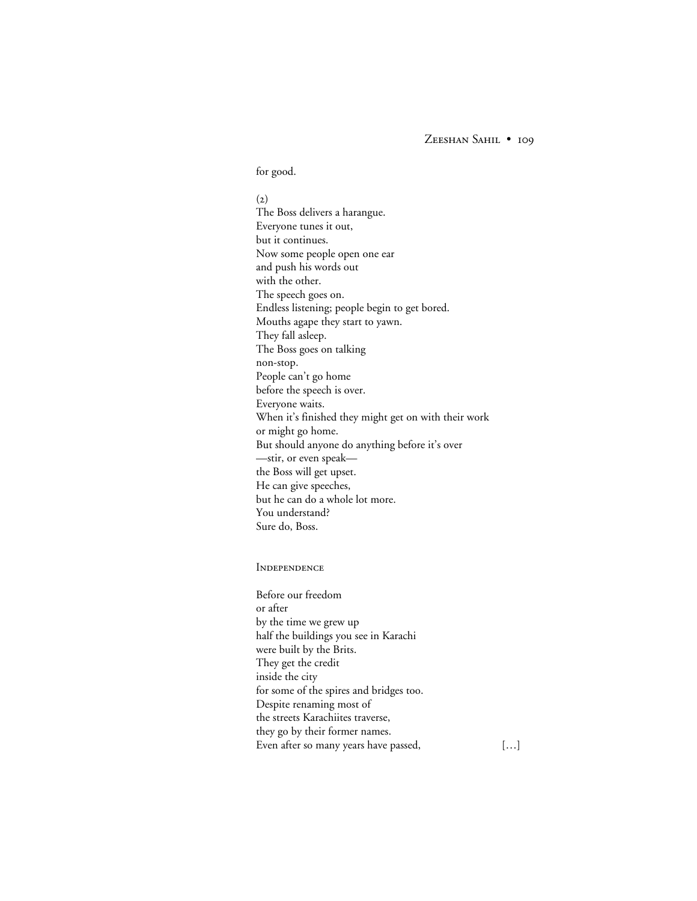#### for good.

 $(2)$ The Boss delivers a harangue. Everyone tunes it out, but it continues. Now some people open one ear and push his words out with the other. The speech goes on. Endless listening; people begin to get bored. Mouths agape they start to yawn. They fall asleep. The Boss goes on talking non-stop. People can't go home before the speech is over. Everyone waits. When it's finished they might get on with their work or might go home. But should anyone do anything before it's over —stir, or even speak the Boss will get upset. He can give speeches, but he can do a whole lot more. You understand? Sure do, Boss.

#### **INDEPENDENCE**

Before our freedom or after by the time we grew up half the buildings you see in Karachi were built by the Brits. They get the credit inside the city for some of the spires and bridges too. Despite renaming most of the streets Karachiites traverse, they go by their former names. Even after so many years have passed, [...]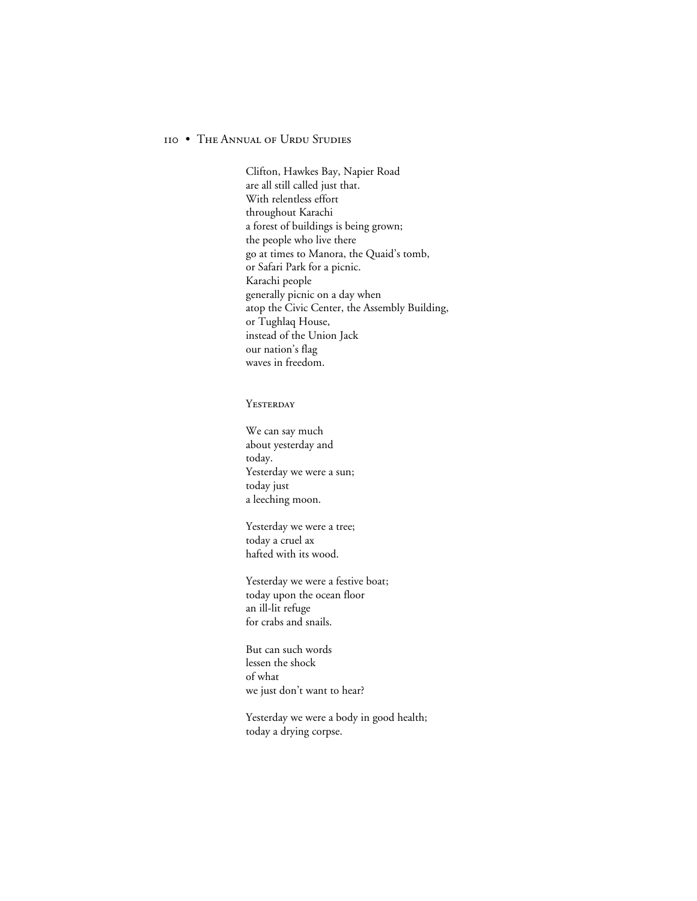Clifton, Hawkes Bay, Napier Road are all still called just that. With relentless effort throughout Karachi a forest of buildings is being grown; the people who live there go at times to Manora, the Quaid's tomb, or Safari Park for a picnic. Karachi people generally picnic on a day when atop the Civic Center, the Assembly Building, or Tughlaq House, instead of the Union Jack our nation's flag waves in freedom.

#### **YESTERDAY**

We can say much about yesterday and today. Yesterday we were a sun; today just a leeching moon.

Yesterday we were a tree; today a cruel ax hafted with its wood.

Yesterday we were a festive boat; today upon the ocean floor an ill-lit refuge for crabs and snails.

But can such words lessen the shock of what we just don't want to hear?

Yesterday we were a body in good health; today a drying corpse.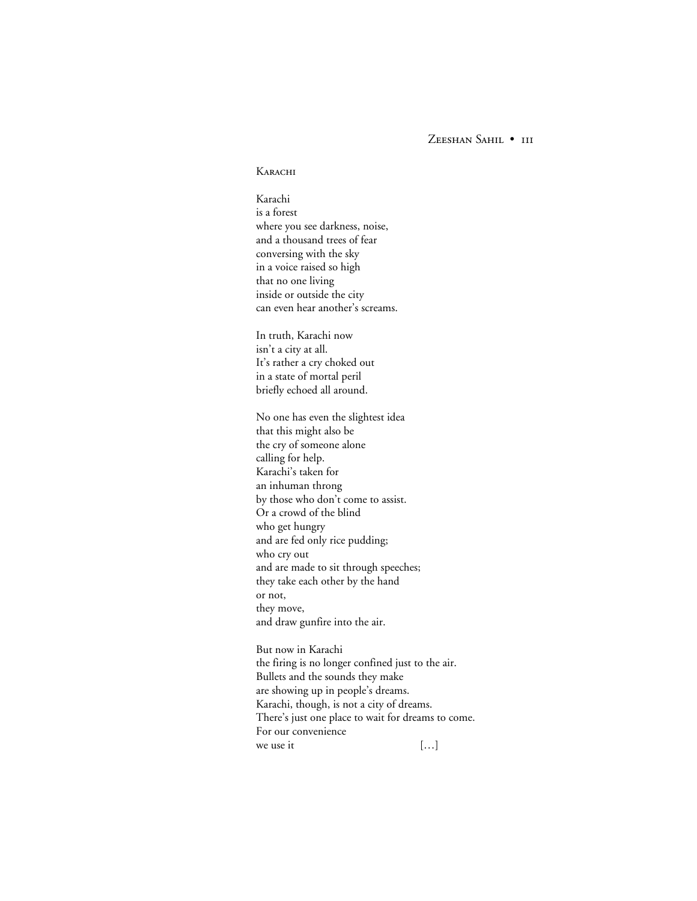ZEESHAN SAHIL . III

#### **KARACHI**

Karachi is a forest where you see darkness, noise, and a thousand trees of fear conversing with the sky in a voice raised so high that no one living inside or outside the city can even hear another's screams.

In truth, Karachi now isn't a city at all. It's rather a cry choked out in a state of mortal peril briefly echoed all around.

No one has even the slightest idea that this might also be the cry of someone alone calling for help. Karachi's taken for an inhuman throng by those who don't come to assist. Or a crowd of the blind who get hungry and are fed only rice pudding; who cry out and are made to sit through speeches; they take each other by the hand or not, they move, and draw gunfire into the air.

But now in Karachi the firing is no longer confined just to the air. Bullets and the sounds they make are showing up in people's dreams. Karachi, though, is not a city of dreams. There's just one place to wait for dreams to come. For our convenience we use it  $\left[\ldots\right]$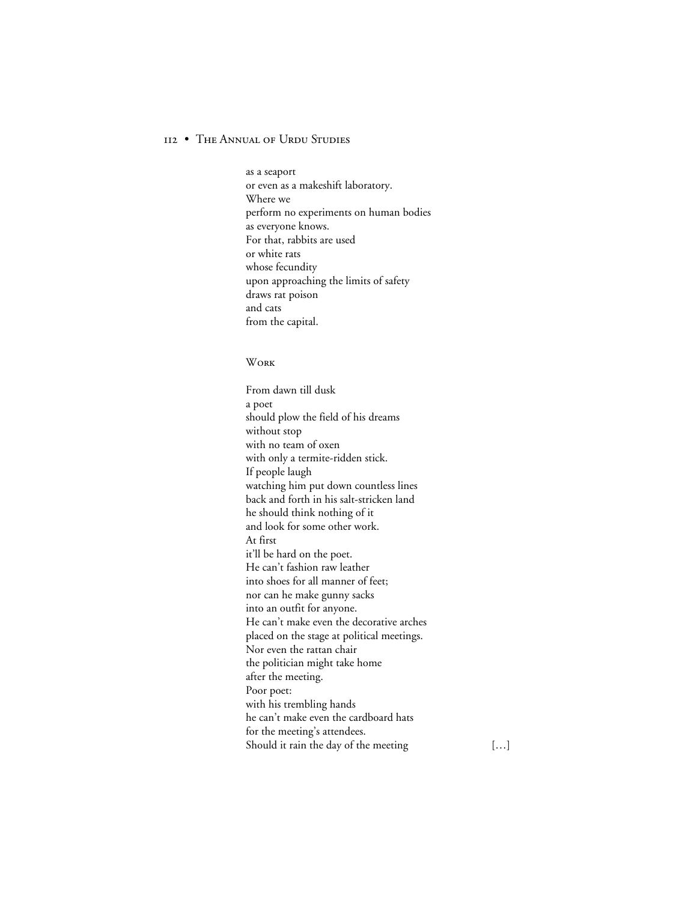as a seaport or even as a makeshift laboratory. Where we perform no experiments on human bodies as everyone knows. For that, rabbits are used or white rats whose fecundity upon approaching the limits of safety draws rat poison and cats from the capital.

#### **WORK**

From dawn till dusk a poet should plow the field of his dreams without stop with no team of oxen with only a termite-ridden stick. If people laugh watching him put down countless lines back and forth in his salt-stricken land he should think nothing of it and look for some other work. At first it'll be hard on the poet. He can't fashion raw leather into shoes for all manner of feet; nor can he make gunny sacks into an outfit for anyone. He can't make even the decorative arches placed on the stage at political meetings. Nor even the rattan chair the politician might take home after the meeting. Poor poet: with his trembling hands he can't make even the cardboard hats for the meeting's attendees. Should it rain the day of the meeting […]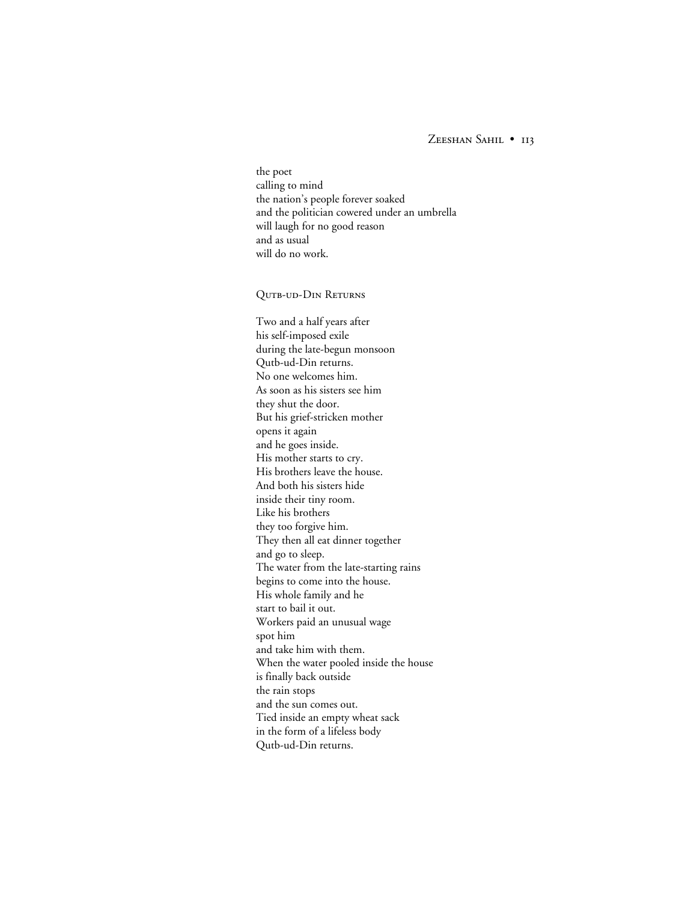the poet calling to mind the nation's people forever soaked and the politician cowered under an umbrella will laugh for no good reason and as usual will do no work.

QUTB-UD-DIN RETURNS

Two and a half years after his self-imposed exile during the late-begun monsoon Qutb-ud-Din returns. No one welcomes him. As soon as his sisters see him they shut the door. But his grief-stricken mother opens it again and he goes inside. His mother starts to cry. His brothers leave the house. And both his sisters hide inside their tiny room. Like his brothers they too forgive him. They then all eat dinner together and go to sleep. The water from the late-starting rains begins to come into the house. His whole family and he start to bail it out. Workers paid an unusual wage spot him and take him with them. When the water pooled inside the house is finally back outside the rain stops and the sun comes out. Tied inside an empty wheat sack in the form of a lifeless body Qutb-ud-Din returns.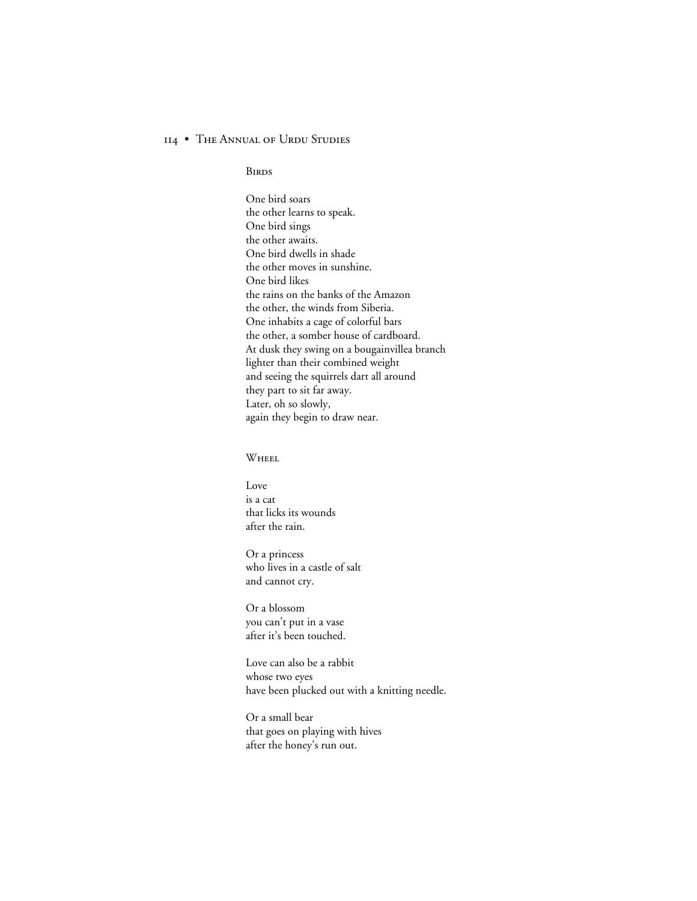**BIRDS** 

One bird soars the other learns to speak. One bird sings the other awaits. One bird dwells in shade the other moves in sunshine. One bird likes the rains on the banks of the Amazon the other, the winds from Siberia. One inhabits a cage of colorful bars the other, a somber house of cardboard. At dusk they swing on a bougainvillea branch lighter than their combined weight and seeing the squirrels dart all around they part to sit far away. Later, oh so slowly, again they begin to draw near.

### WHEEL

Love is a cat that licks its wounds after the rain.

Or a princess who lives in a castle of salt and cannot cry.

Or a blossom you can't put in a vase after it's been touched.

Love can also be a rabbit whose two eyes have been plucked out with a knitting needle.

Or a small bear that goes on playing with hives after the honey's run out.